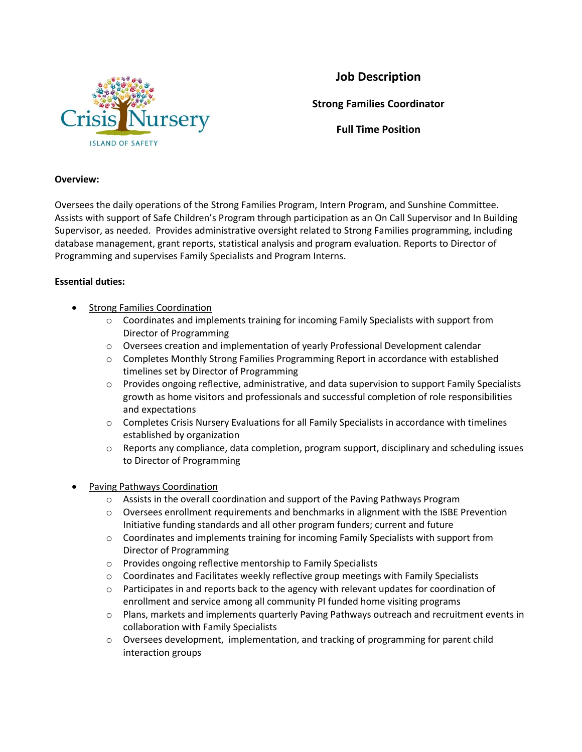

## **Job Description**

**Strong Families Coordinator**

**Full Time Position**

## **Overview:**

Oversees the daily operations of the Strong Families Program, Intern Program, and Sunshine Committee. Assists with support of Safe Children's Program through participation as an On Call Supervisor and In Building Supervisor, as needed. Provides administrative oversight related to Strong Families programming, including database management, grant reports, statistical analysis and program evaluation. Reports to Director of Programming and supervises Family Specialists and Program Interns.

## **Essential duties:**

- **•** Strong Families Coordination
	- o Coordinates and implements training for incoming Family Specialists with support from Director of Programming
	- $\circ$  Oversees creation and implementation of yearly Professional Development calendar
	- o Completes Monthly Strong Families Programming Report in accordance with established timelines set by Director of Programming
	- o Provides ongoing reflective, administrative, and data supervision to support Family Specialists growth as home visitors and professionals and successful completion of role responsibilities and expectations
	- o Completes Crisis Nursery Evaluations for all Family Specialists in accordance with timelines established by organization
	- $\circ$  Reports any compliance, data completion, program support, disciplinary and scheduling issues to Director of Programming
- Paving Pathways Coordination
	- o Assists in the overall coordination and support of the Paving Pathways Program
	- o Oversees enrollment requirements and benchmarks in alignment with the ISBE Prevention Initiative funding standards and all other program funders; current and future
	- o Coordinates and implements training for incoming Family Specialists with support from Director of Programming
	- o Provides ongoing reflective mentorship to Family Specialists
	- $\circ$  Coordinates and Facilitates weekly reflective group meetings with Family Specialists
	- $\circ$  Participates in and reports back to the agency with relevant updates for coordination of enrollment and service among all community PI funded home visiting programs
	- o Plans, markets and implements quarterly Paving Pathways outreach and recruitment events in collaboration with Family Specialists
	- $\circ$  Oversees development, implementation, and tracking of programming for parent child interaction groups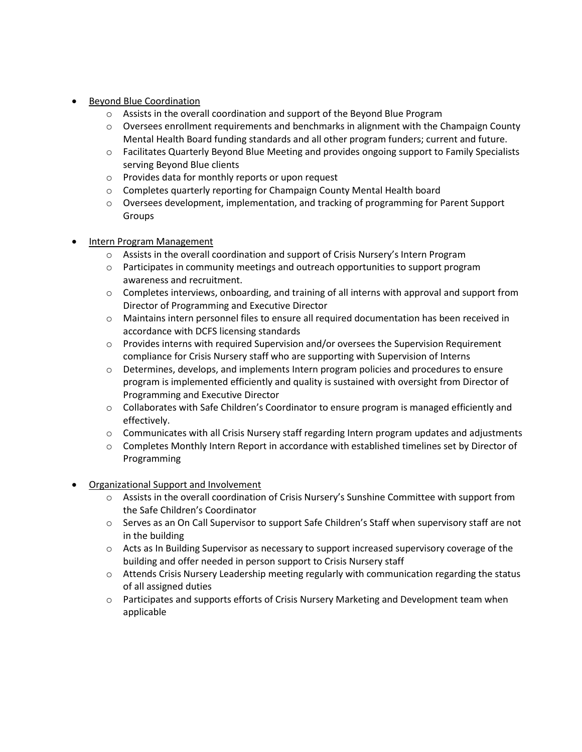- Beyond Blue Coordination
	- o Assists in the overall coordination and support of the Beyond Blue Program
	- $\circ$  Oversees enrollment requirements and benchmarks in alignment with the Champaign County Mental Health Board funding standards and all other program funders; current and future.
	- o Facilitates Quarterly Beyond Blue Meeting and provides ongoing support to Family Specialists serving Beyond Blue clients
	- o Provides data for monthly reports or upon request
	- o Completes quarterly reporting for Champaign County Mental Health board
	- o Oversees development, implementation, and tracking of programming for Parent Support Groups
- Intern Program Management
	- o Assists in the overall coordination and support of Crisis Nursery's Intern Program
	- $\circ$  Participates in community meetings and outreach opportunities to support program awareness and recruitment.
	- $\circ$  Completes interviews, onboarding, and training of all interns with approval and support from Director of Programming and Executive Director
	- o Maintains intern personnel files to ensure all required documentation has been received in accordance with DCFS licensing standards
	- o Provides interns with required Supervision and/or oversees the Supervision Requirement compliance for Crisis Nursery staff who are supporting with Supervision of Interns
	- o Determines, develops, and implements Intern program policies and procedures to ensure program is implemented efficiently and quality is sustained with oversight from Director of Programming and Executive Director
	- o Collaborates with Safe Children's Coordinator to ensure program is managed efficiently and effectively.
	- $\circ$  Communicates with all Crisis Nursery staff regarding Intern program updates and adjustments
	- $\circ$  Completes Monthly Intern Report in accordance with established timelines set by Director of Programming
- Organizational Support and Involvement
	- o Assists in the overall coordination of Crisis Nursery's Sunshine Committee with support from the Safe Children's Coordinator
	- o Serves as an On Call Supervisor to support Safe Children's Staff when supervisory staff are not in the building
	- $\circ$  Acts as In Building Supervisor as necessary to support increased supervisory coverage of the building and offer needed in person support to Crisis Nursery staff
	- o Attends Crisis Nursery Leadership meeting regularly with communication regarding the status of all assigned duties
	- o Participates and supports efforts of Crisis Nursery Marketing and Development team when applicable